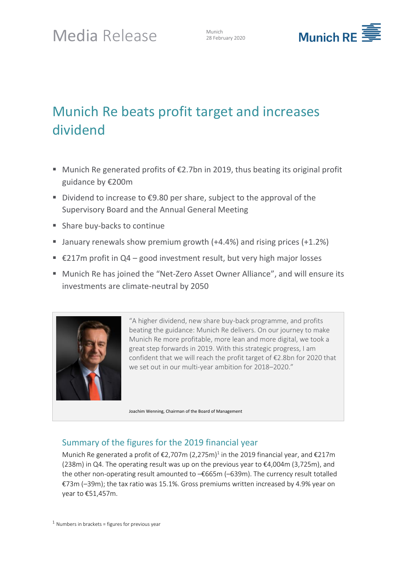

# Munich Re beats profit target and increases dividend

- Munich Re generated profits of  $£2.7$ bn in 2019, thus beating its original profit guidance by €200m
- Dividend to increase to  $€9.80$  per share, subject to the approval of the Supervisory Board and the Annual General Meeting
- Share buy-backs to continue
- **E** January renewals show premium growth  $(+4.4%)$  and rising prices  $(+1.2%)$
- $£217m$  profit in Q4 good investment result, but very high major losses
- Munich Re has joined the "Net-Zero Asset Owner Alliance", and will ensure its investments are climate-neutral by 2050



"A higher dividend, new share buy-back programme, and profits beating the guidance: Munich Re delivers. On our journey to make Munich Re more profitable, more lean and more digital, we took a great step forwards in 2019. With this strategic progress, I am confident that we will reach the profit target of €2.8bn for 2020 that we set out in our multi-year ambition for 2018–2020."

Joachim Wenning, Chairman of the Board of Management

## Summary of the figures for the 2019 financial year

Munich Re generated a profit of  $\epsilon$ 2,707m (2,275m)<sup>1</sup> in the 2019 financial year, and  $\epsilon$ 217m (238m) in Q4. The operating result was up on the previous year to  $\epsilon$ 4,004m (3,725m), and the other non-operating result amounted to –€665m (–639m). The currency result totalled €73m (–39m); the tax ratio was 15.1%. Gross premiums written increased by 4.9% year on year to €51,457m.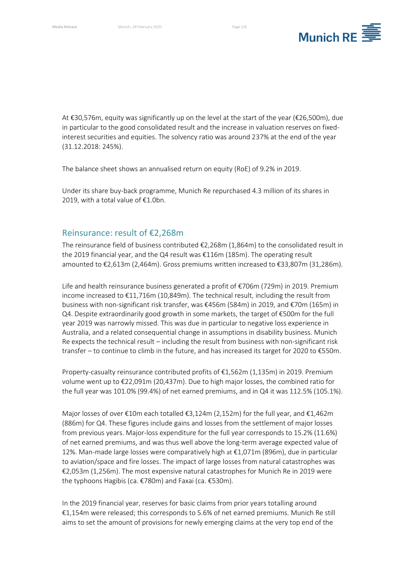

At €30,576m, equity was significantly up on the level at the start of the year (€26,500m), due in particular to the good consolidated result and the increase in valuation reserves on fixedinterest securities and equities. The solvency ratio was around 237% at the end of the year (31.12.2018: 245%).

The balance sheet shows an annualised return on equity (RoE) of 9.2% in 2019.

Under its share buy-back programme, Munich Re repurchased 4.3 million of its shares in 2019, with a total value of €1.0bn.

#### Reinsurance: result of €2,268m

The reinsurance field of business contributed  $\epsilon$ 2,268m (1,864m) to the consolidated result in the 2019 financial year, and the Q4 result was €116m (185m). The operating result amounted to €2,613m (2,464m). Gross premiums written increased to €33,807m (31,286m).

Life and health reinsurance business generated a profit of €706m (729m) in 2019. Premium income increased to €11,716m (10,849m). The technical result, including the result from business with non-significant risk transfer, was €456m (584m) in 2019, and €70m (165m) in Q4. Despite extraordinarily good growth in some markets, the target of €500m for the full year 2019 was narrowly missed. This was due in particular to negative loss experience in Australia, and a related consequential change in assumptions in disability business. Munich Re expects the technical result – including the result from business with non-significant risk transfer – to continue to climb in the future, and has increased its target for 2020 to €550m.

Property-casualty reinsurance contributed profits of €1,562m (1,135m) in 2019. Premium volume went up to €22,091m (20,437m). Due to high major losses, the combined ratio for the full year was 101.0% (99.4%) of net earned premiums, and in Q4 it was 112.5% (105.1%).

Major losses of over €10m each totalled €3,124m (2,152m) for the full year, and €1,462m (886m) for Q4. These figures include gains and losses from the settlement of major losses from previous years. Major-loss expenditure for the full year corresponds to 15.2% (11.6%) of net earned premiums, and was thus well above the long-term average expected value of 12%. Man-made large losses were comparatively high at €1,071m (896m), due in particular to aviation/space and fire losses. The impact of large losses from natural catastrophes was €2,053m (1,256m). The most expensive natural catastrophes for Munich Re in 2019 were the typhoons Hagibis (ca. €780m) and Faxai (ca. €530m).

In the 2019 financial year, reserves for basic claims from prior years totalling around €1,154m were released; this corresponds to 5.6% of net earned premiums. Munich Re still aims to set the amount of provisions for newly emerging claims at the very top end of the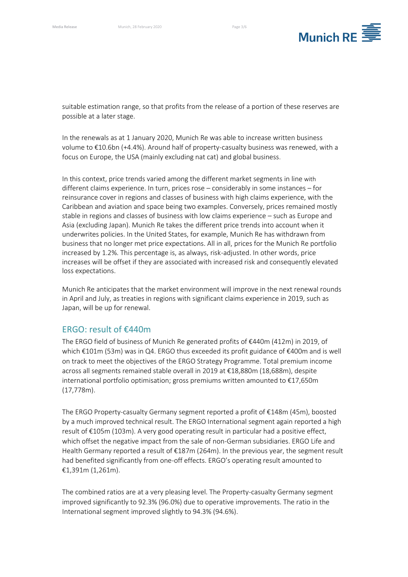

suitable estimation range, so that profits from the release of a portion of these reserves are possible at a later stage.

In the renewals as at 1 January 2020, Munich Re was able to increase written business volume to €10.6bn (+4.4%). Around half of property-casualty business was renewed, with a focus on Europe, the USA (mainly excluding nat cat) and global business.

In this context, price trends varied among the different market segments in line with different claims experience. In turn, prices rose – considerably in some instances – for reinsurance cover in regions and classes of business with high claims experience, with the Caribbean and aviation and space being two examples. Conversely, prices remained mostly stable in regions and classes of business with low claims experience – such as Europe and Asia (excluding Japan). Munich Re takes the different price trends into account when it underwrites policies. In the United States, for example, Munich Re has withdrawn from business that no longer met price expectations. All in all, prices for the Munich Re portfolio increased by 1.2%. This percentage is, as always, risk-adjusted. In other words, price increases will be offset if they are associated with increased risk and consequently elevated loss expectations.

Munich Re anticipates that the market environment will improve in the next renewal rounds in April and July, as treaties in regions with significant claims experience in 2019, such as Japan, will be up for renewal.

## ERGO: result of €440m

The ERGO field of business of Munich Re generated profits of €440m (412m) in 2019, of which €101m (53m) was in Q4. ERGO thus exceeded its profit guidance of €400m and is well on track to meet the objectives of the ERGO Strategy Programme. Total premium income across all segments remained stable overall in 2019 at €18,880m (18,688m), despite international portfolio optimisation; gross premiums written amounted to €17,650m (17,778m).

The ERGO Property-casualty Germany segment reported a profit of €148m (45m), boosted by a much improved technical result. The ERGO International segment again reported a high result of €105m (103m). A very good operating result in particular had a positive effect, which offset the negative impact from the sale of non-German subsidiaries. ERGO Life and Health Germany reported a result of €187m (264m). In the previous year, the segment result had benefited significantly from one-off effects. ERGO's operating result amounted to €1,391m (1,261m).

The combined ratios are at a very pleasing level. The Property-casualty Germany segment improved significantly to 92.3% (96.0%) due to operative improvements. The ratio in the International segment improved slightly to 94.3% (94.6%).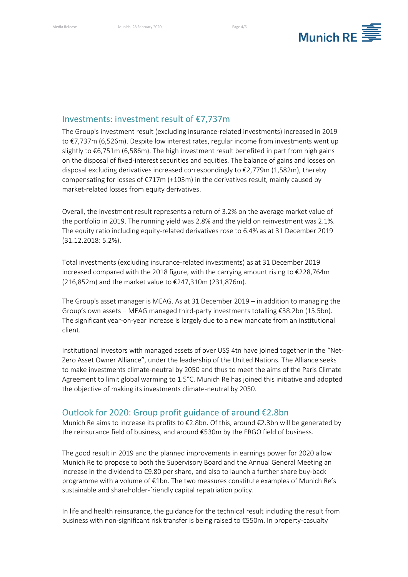

## Investments: investment result of €7,737m

The Group's investment result (excluding insurance-related investments) increased in 2019 to €7,737m (6,526m). Despite low interest rates, regular income from investments went up slightly to €6,751m (6,586m). The high investment result benefited in part from high gains on the disposal of fixed-interest securities and equities. The balance of gains and losses on disposal excluding derivatives increased correspondingly to €2,779m (1,582m), thereby compensating for losses of  $\epsilon$ 717m (+103m) in the derivatives result, mainly caused by market-related losses from equity derivatives.

Overall, the investment result represents a return of 3.2% on the average market value of the portfolio in 2019. The running yield was 2.8% and the yield on reinvestment was 2.1%. The equity ratio including equity-related derivatives rose to 6.4% as at 31 December 2019 (31.12.2018: 5.2%).

Total investments (excluding insurance-related investments) as at 31 December 2019 increased compared with the 2018 figure, with the carrying amount rising to  $\epsilon$ 228,764m (216,852m) and the market value to €247,310m (231,876m).

The Group's asset manager is MEAG. As at 31 December 2019 – in addition to managing the Group's own assets – MEAG managed third-party investments totalling €38.2bn (15.5bn). The significant year-on-year increase is largely due to a new mandate from an institutional client.

Institutional investors with managed assets of over US\$ 4tn have joined together in the "Net-Zero Asset Owner Alliance", under the leadership of the United Nations. The Alliance seeks to make investments climate-neutral by 2050 and thus to meet the aims of the Paris Climate Agreement to limit global warming to 1.5°C. Munich Re has joined this initiative and adopted the objective of making its investments climate-neutral by 2050.

## Outlook for 2020: Group profit guidance of around €2.8bn

Munich Re aims to increase its profits to €2.8bn. Of this, around €2.3bn will be generated by the reinsurance field of business, and around €530m by the ERGO field of business.

The good result in 2019 and the planned improvements in earnings power for 2020 allow Munich Re to propose to both the Supervisory Board and the Annual General Meeting an increase in the dividend to €9.80 per share, and also to launch a further share buy-back programme with a volume of €1bn. The two measures constitute examples of Munich Re's sustainable and shareholder-friendly capital repatriation policy.

In life and health reinsurance, the guidance for the technical result including the result from business with non-significant risk transfer is being raised to €550m. In property-casualty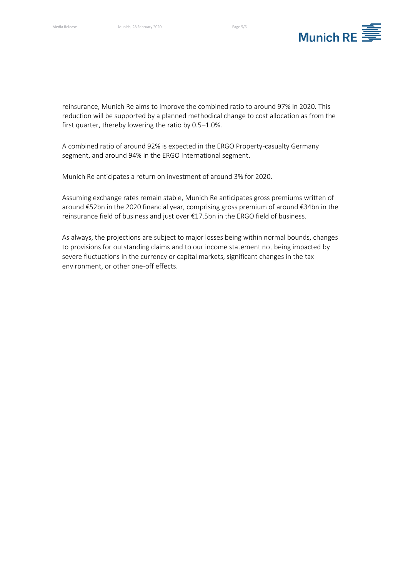

reinsurance, Munich Re aims to improve the combined ratio to around 97% in 2020. This reduction will be supported by a planned methodical change to cost allocation as from the first quarter, thereby lowering the ratio by 0.5–1.0%.

A combined ratio of around 92% is expected in the ERGO Property-casualty Germany segment, and around 94% in the ERGO International segment.

Munich Re anticipates a return on investment of around 3% for 2020.

Assuming exchange rates remain stable, Munich Re anticipates gross premiums written of around €52bn in the 2020 financial year, comprising gross premium of around €34bn in the reinsurance field of business and just over €17.5bn in the ERGO field of business.

As always, the projections are subject to major losses being within normal bounds, changes to provisions for outstanding claims and to our income statement not being impacted by severe fluctuations in the currency or capital markets, significant changes in the tax environment, or other one-off effects.